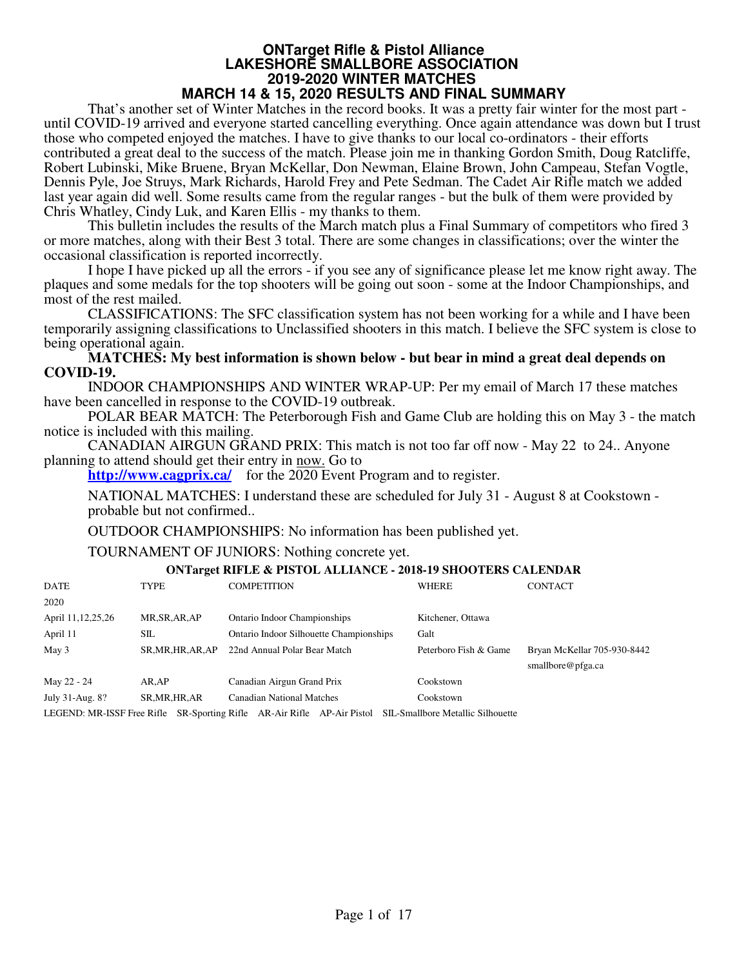## **ONTarget Rifle & Pistol Alliance LAKESHORE SMALLBORE ASSOCIATION 2019-2020 WINTER MATCHES**

### **MARCH 14 & 15, 2020 RESULTS AND FINAL SUMMARY**

That's another set of Winter Matches in the record books. It was a pretty fair winter for the most part until COVID-19 arrived and everyone started cancelling everything. Once again attendance was down but I trust those who competed enjoyed the matches. I have to give thanks to our local co-ordinators - their efforts contributed a great deal to the success of the match. Please join me in thanking Gordon Smith, Doug Ratcliffe, Robert Lubinski, Mike Bruene, Bryan McKellar, Don Newman, Elaine Brown, John Campeau, Stefan Vogtle, Dennis Pyle, Joe Struys, Mark Richards, Harold Frey and Pete Sedman. The Cadet Air Rifle match we added last year again did well. Some results came from the regular ranges - but the bulk of them were provided by Chris Whatley, Cindy Luk, and Karen Ellis - my thanks to them.

This bulletin includes the results of the March match plus a Final Summary of competitors who fired 3 or more matches, along with their Best 3 total. There are some changes in classifications; over the winter the occasional classification is reported incorrectly.

I hope I have picked up all the errors - if you see any of significance please let me know right away. The plaques and some medals for the top shooters will be going out soon - some at the Indoor Championships, and most of the rest mailed.

CLASSIFICATIONS: The SFC classification system has not been working for a while and I have been temporarily assigning classifications to Unclassified shooters in this match. I believe the SFC system is close to being operational again.

#### **MATCHES: My best information is shown below - but bear in mind a great deal depends on COVID-19.**

INDOOR CHAMPIONSHIPS AND WINTER WRAP-UP: Per my email of March 17 these matches have been cancelled in response to the COVID-19 outbreak.

POLAR BEAR MATCH: The Peterborough Fish and Game Club are holding this on May 3 - the match notice is included with this mailing.

CANADIAN AIRGUN GRAND PRIX: This match is not too far off now - May 22 to 24.. Anyone planning to attend should get their entry in now. Go to

**http://www.cagprix.ca/** for the 2020 Event Program and to register.

NATIONAL MATCHES: I understand these are scheduled for July 31 - August 8 at Cookstown probable but not confirmed..

OUTDOOR CHAMPIONSHIPS: No information has been published yet.

TOURNAMENT OF JUNIORS: Nothing concrete yet.

#### **ONTarget RIFLE & PISTOL ALLIANCE - 2018-19 SHOOTERS CALENDAR**

| DATE                 | <b>TYPE</b>        | <b>COMPETITION</b>                                                                                            | <b>WHERE</b>          | <b>CONTACT</b>              |
|----------------------|--------------------|---------------------------------------------------------------------------------------------------------------|-----------------------|-----------------------------|
| 2020                 |                    |                                                                                                               |                       |                             |
| April 11, 12, 25, 26 | MR, SR, AR, AP     | Ontario Indoor Championships                                                                                  | Kitchener, Ottawa     |                             |
| April 11             | SШ                 | Ontario Indoor Silhouette Championships                                                                       | Galt                  |                             |
| May 3                | SR, MR, HR, AR, AP | 22nd Annual Polar Bear Match                                                                                  | Peterboro Fish & Game | Bryan McKellar 705-930-8442 |
|                      |                    |                                                                                                               |                       | smallbore@pfga.ca           |
| May 22 - 24          | AR.AP              | Canadian Airgun Grand Prix                                                                                    | Cookstown             |                             |
| July 31-Aug. 8?      | SR, MR, HR, AR     | <b>Canadian National Matches</b>                                                                              | Cookstown             |                             |
|                      |                    | LECEND: MD ICCE Free Diffe. CD Coorting Diffe. AD Air Diffe. AD Air Digtal. CH, Smallborg Matellia Silboughto |                       |                             |

LEGEND: MR-ISSF Free Rifle SR-Sporting Rifle AR-Air Rifle AP-Air Pistol SIL-Smallbore Metallic Silhouette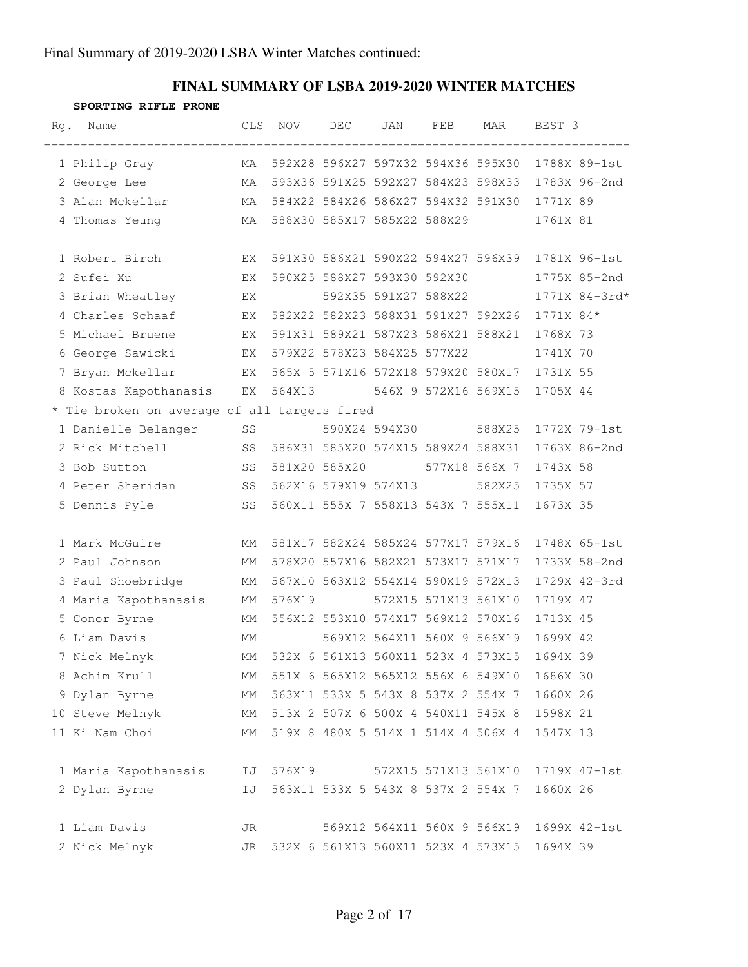### **FINAL SUMMARY OF LSBA 2019-2020 WINTER MATCHES**

#### **SPORTING RIFLE PRONE**

| Rg. | Name                                         | CLS. | NOV                                | DEC | JAN                                | FEB                  | MAR                                | BEST 3    |               |
|-----|----------------------------------------------|------|------------------------------------|-----|------------------------------------|----------------------|------------------------------------|-----------|---------------|
|     | 1 Philip Gray                                | MA   |                                    |     | 592X28 596X27 597X32 594X36 595X30 |                      |                                    |           | 1788X 89-1st  |
|     | 2 George Lee                                 | MA   |                                    |     | 593X36 591X25 592X27 584X23 598X33 |                      |                                    |           | 1783X 96-2nd  |
|     | 3 Alan Mckellar                              | MA   |                                    |     |                                    |                      | 584X22 584X26 586X27 594X32 591X30 | 1771X 89  |               |
|     | 4 Thomas Yeung                               | MA   | 588X30 585X17 585X22 588X29        |     |                                    |                      |                                    | 1761X 81  |               |
|     | 1 Robert Birch                               | EX   |                                    |     |                                    |                      | 591X30 586X21 590X22 594X27 596X39 |           | 1781X 96-1st  |
|     | 2 Sufei Xu                                   | EX   |                                    |     | 590X25 588X27 593X30 592X30        |                      |                                    |           | 1775X 85-2nd  |
|     | 3 Brian Wheatley                             | EX   |                                    |     |                                    |                      | 592X35 591X27 588X22               |           | 1771X 84-3rd* |
|     | 4 Charles Schaaf                             | EX   |                                    |     |                                    |                      | 582X22 582X23 588X31 591X27 592X26 | 1771X 84* |               |
|     | 5 Michael Bruene                             | EX   |                                    |     | 591X31 589X21 587X23 586X21 588X21 |                      |                                    | 1768X 73  |               |
|     | 6 George Sawicki                             | EX   | 579X22 578X23 584X25 577X22        |     |                                    |                      |                                    | 1741X 70  |               |
|     | 7 Bryan Mckellar<br>EX EX                    |      |                                    |     |                                    |                      | 565X 5 571X16 572X18 579X20 580X17 | 1731X 55  |               |
|     | 8 Kostas Kapothanasis                        | EX   |                                    |     |                                    |                      | 564X13 546X 9 572X16 569X15        | 1705X 44  |               |
|     | * Tie broken on average of all targets fired |      |                                    |     |                                    |                      |                                    |           |               |
|     | 1 Danielle Belanger                          | SS   |                                    |     | 590X24 594X30                      |                      | 588X25                             |           | 1772X 79-1st  |
|     | 2 Rick Mitchell                              | SS   | 586X31 585X20 574X15 589X24 588X31 |     |                                    |                      |                                    |           | 1763X 86-2nd  |
|     | 3 Bob Sutton                                 | SS   | 581X20 585X20                      |     |                                    |                      | 577X18 566X 7                      | 1743X 58  |               |
|     | 4 Peter Sheridan                             | SS   |                                    |     |                                    |                      | 582X25                             | 1735X 57  |               |
|     | 5 Dennis Pyle                                | SS   |                                    |     | 560X11 555X 7 558X13 543X 7 555X11 |                      |                                    | 1673X 35  |               |
|     | 1 Mark McGuire                               | МM   |                                    |     | 581X17 582X24 585X24 577X17 579X16 |                      |                                    |           | 1748X 65-1st  |
|     | 2 Paul Johnson                               | МM   |                                    |     | 578X20 557X16 582X21 573X17 571X17 |                      |                                    |           | 1733X 58-2nd  |
|     | 3 Paul Shoebridge                            | MM   |                                    |     | 567X10 563X12 554X14 590X19 572X13 |                      |                                    |           | 1729X 42-3rd  |
|     | 4 Maria Kapothanasis                         | МM   | 576X19                             |     |                                    | 572X15 571X13 561X10 |                                    | 1719X 47  |               |
|     | 5 Conor Byrne                                | МM   |                                    |     | 556X12 553X10 574X17 569X12 570X16 |                      |                                    | 1713X 45  |               |
|     | 6 Liam Davis                                 | МM   |                                    |     |                                    |                      | 569X12 564X11 560X 9 566X19        | 1699X 42  |               |
|     | 7 Nick Melnyk                                | MM   |                                    |     | 532X 6 561X13 560X11 523X 4 573X15 |                      |                                    | 1694X 39  |               |
|     | 8 Achim Krull                                | МM   |                                    |     | 551X 6 565X12 565X12 556X 6 549X10 |                      |                                    | 1686X 30  |               |
|     | 9 Dylan Byrne                                | МM   |                                    |     | 563X11 533X 5 543X 8 537X 2 554X 7 |                      |                                    | 1660X 26  |               |
|     | 10 Steve Melnyk                              | МM   |                                    |     | 513X 2 507X 6 500X 4 540X11 545X 8 |                      |                                    | 1598X 21  |               |
|     | 11 Ki Nam Choi                               | МM   |                                    |     | 519X 8 480X 5 514X 1 514X 4 506X 4 |                      |                                    | 1547X 13  |               |
|     | 1 Maria Kapothanasis                         | IJ   | 576X19                             |     |                                    | 572X15 571X13 561X10 |                                    |           | 1719X 47-1st  |
|     | 2 Dylan Byrne                                | IJ   |                                    |     | 563X11 533X 5 543X 8 537X 2 554X 7 |                      |                                    | 1660X 26  |               |
|     | 1 Liam Davis                                 | JR   |                                    |     | 569X12 564X11 560X 9 566X19        |                      |                                    |           | 1699X 42-1st  |
|     | 2 Nick Melnyk                                | JR   |                                    |     | 532X 6 561X13 560X11 523X 4 573X15 |                      |                                    | 1694X 39  |               |
|     |                                              |      |                                    |     |                                    |                      |                                    |           |               |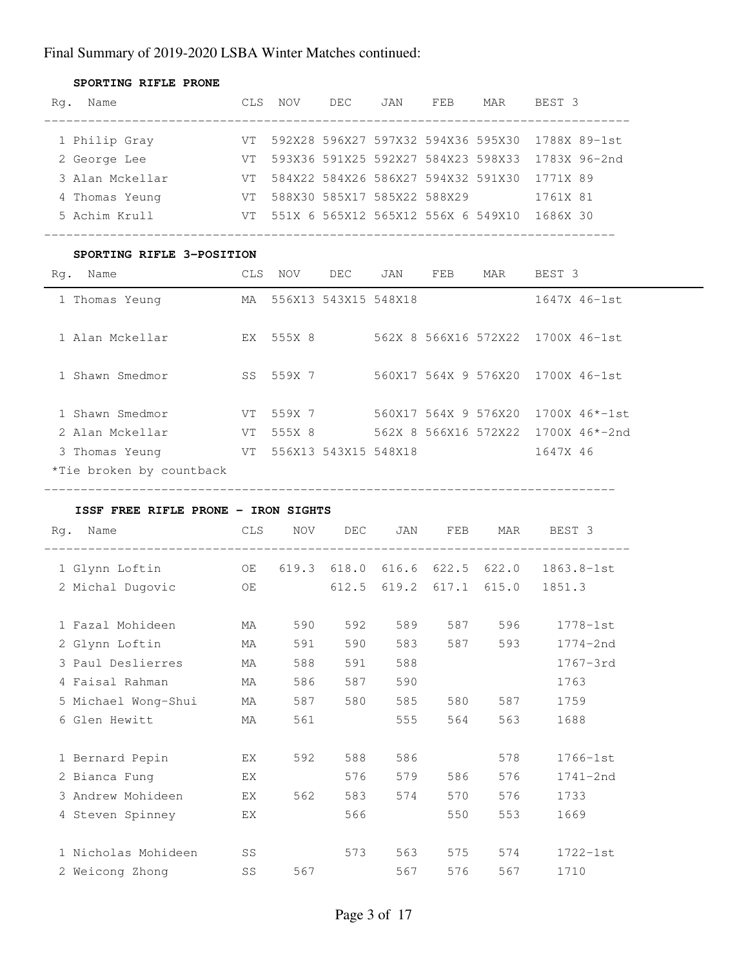| SPORTING RIFLE PRONE |      |                                    |      |     |                                    |     |                                                 |
|----------------------|------|------------------------------------|------|-----|------------------------------------|-----|-------------------------------------------------|
| Name<br>Rq.          | CLS. | NOV                                | DEC. | JAN | FEB                                | MAR | BEST 3                                          |
|                      |      |                                    |      |     |                                    |     |                                                 |
| 1 Philip Gray        | VT.  |                                    |      |     |                                    |     | 592X28 596X27 597X32 594X36 595X30 1788X 89-1st |
| 2 George Lee         | VT.  | 593X36 591X25 592X27 584X23 598X33 |      |     |                                    |     | 1783X 96-2nd                                    |
| 3 Alan Mckellar      | VT.  |                                    |      |     | 584X22 584X26 586X27 594X32 591X30 |     | 1771X 89                                        |
| 4 Thomas Yeung       | VT.  | 588X30 585X17 585X22 588X29        |      |     |                                    |     | 1761X 81                                        |
| 5 Achim Krull        | VT.  | 551X 6 565X12 565X12 556X 6 549X10 |      |     |                                    |     | 1686X 30                                        |
|                      |      |                                    |      |     |                                    |     |                                                 |

#### **SPORTING RIFLE 3-POSITION**

| Name<br>Rq.              | CLS. | NOV       | DEC                  | JAN | FEB                  | MAR                  | BEST 3                            |  |
|--------------------------|------|-----------|----------------------|-----|----------------------|----------------------|-----------------------------------|--|
| 1 Thomas Yeung           | МA   |           | 556X13 543X15 548X18 |     |                      |                      | 1647X 46-1st                      |  |
| 1 Alan Mckellar          | EX   | 555X 8    |                      |     |                      |                      | 562X 8 566X16 572X22 1700X 46-1st |  |
| 1 Shawn Smedmor          |      | SS 559X 7 |                      |     |                      | 560X17 564X 9 576X20 | 1700X 46-1st                      |  |
| 1 Shawn Smedmor          | VT.  | 559X 7    |                      |     |                      | 560X17 564X 9 576X20 | $1700X$ 46*-1st                   |  |
| 2 Alan Mckellar          | VT   | 555X 8    |                      |     | 562X 8 566X16 572X22 |                      | $1700X$ 46*-2nd                   |  |
| 3 Thomas Yeung           | VT   |           | 556X13 543X15 548X18 |     |                      |                      | 1647X 46                          |  |
| *Tie broken by countback |      |           |                      |     |                      |                      |                                   |  |

------------------------------------------------------------------------------

#### **ISSF FREE RIFLE PRONE - IRON SIGHTS**

| Rq.<br>Name<br>--------------------- | <b>CLS</b> | <b>NOV</b> | DEC   | JAN   | FEB   | MAR   | BEST 3       |
|--------------------------------------|------------|------------|-------|-------|-------|-------|--------------|
| 1 Glynn Loftin                       | OE         | 619.3      | 618.0 | 616.6 | 622.5 | 622.0 | 1863.8-1st   |
| 2 Michal Dugovic                     | OE         |            | 612.5 | 619.2 | 617.1 | 615.0 | 1851.3       |
| 1 Fazal Mohideen                     | МA         | 590        | 592   | 589   | 587   | 596   | $1778 - 1st$ |
| 2 Glynn Loftin                       | МA         | 591        | 590   | 583   | 587   | 593   | $1774 - 2nd$ |
| 3 Paul Deslierres                    | МA         | 588        | 591   | 588   |       |       | $1767 - 3rd$ |
| 4 Faisal Rahman                      | МA         | 586        | 587   | 590   |       |       | 1763         |
| 5 Michael Wong-Shui                  | МA         | 587        | 580   | 585   | 580   | 587   | 1759         |
| 6 Glen Hewitt                        | МA         | 561        |       | 555   | 564   | 563   | 1688         |
|                                      |            |            |       |       |       |       |              |
| 1 Bernard Pepin                      | EX.        | 592        | 588   | 586   |       | 578   | $1766 - 1st$ |
| 2 Bianca Fung                        | EX         |            | 576   | 579   | 586   | 576   | $1741 - 2nd$ |
| 3 Andrew Mohideen                    | EX         | 562        | 583   | 574   | 570   | 576   | 1733         |
| 4 Steven Spinney                     | ЕX         |            | 566   |       | 550   | 553   | 1669         |
|                                      |            |            |       |       |       |       |              |
| 1 Nicholas Mohideen                  | SS         |            | 573   | 563   | 575   | 574   | $1722 - 1st$ |
| 2 Weicong Zhong                      | SS         | 567        |       | 567   | 576   | 567   | 1710         |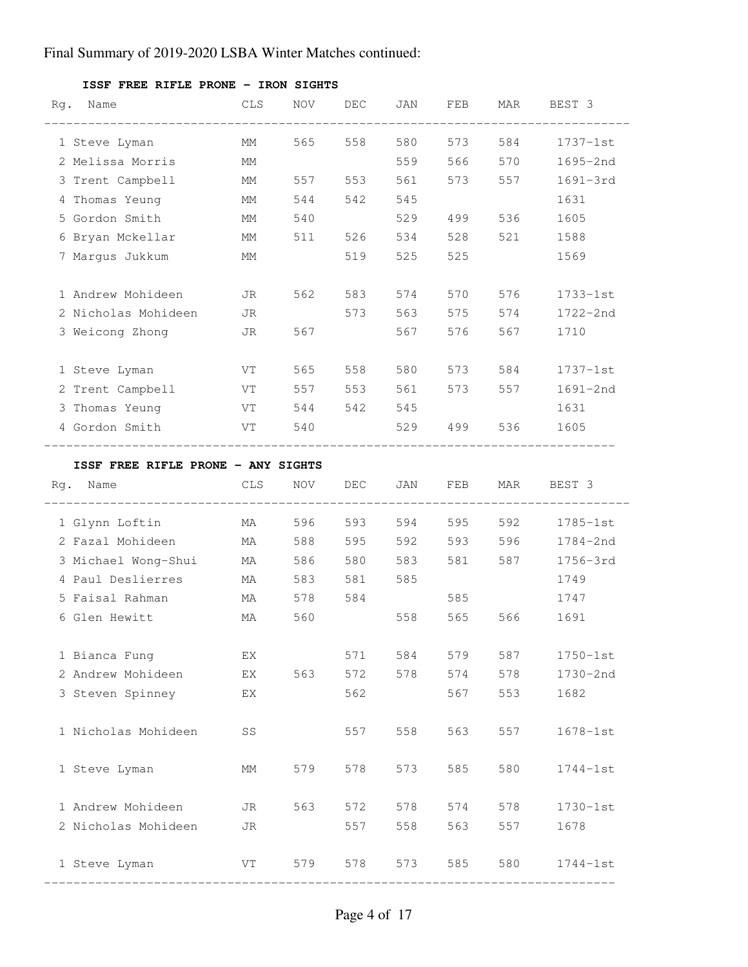| Rg. | Name                               | <b>CLS</b>             | NOV | DEC     | JAN             | FEB     | MAR   | BEST 3       |
|-----|------------------------------------|------------------------|-----|---------|-----------------|---------|-------|--------------|
|     | 1 Steve Lyman                      | MM                     | 565 | 558     | 580             | 573     | 584   | $1737 - 1st$ |
|     | 2 Melissa Morris                   | МM                     |     |         | 559             | 566     | 570   | 1695-2nd     |
|     | 3 Trent Campbell                   | MM                     |     | 557 553 | 561 7           | 573     | 557   | $1691 - 3rd$ |
|     | 4 Thomas Yeung                     | MM                     | 544 | 542 545 |                 |         |       | 1631         |
|     | 5 Gordon Smith                     | MM                     | 540 |         |                 | 529 499 | 536   | 1605         |
|     | 6 Bryan Mckellar                   | МM                     | 511 |         | 526 534         | 528     | 521   | 1588         |
|     | 7 Margus Jukkum                    | MМ                     |     | 519     | 525             | 525     |       | 1569         |
|     | 1 Andrew Mohideen                  | JR                     | 562 |         | 583 574         | 570     | 576   | $1733 - 1st$ |
|     | 2 Nicholas Mohideen                | JR                     |     |         | 573 563         | 575     | 574   | $1722 - 2nd$ |
|     | 3 Weicong Zhong                    | JR                     | 567 |         | 567             | 576     | 567   | 1710         |
|     | 1 Steve Lyman                      | VT <b>V</b>            | 565 |         | 558 580 573     |         | 584   | $1737 - 1st$ |
|     | 2 Trent Campbell                   | VT 11                  | 557 |         | 553 561         | 573     | 557   | 1691-2nd     |
|     | 3 Thomas Yeung NT VT               |                        |     |         | 544 542 545     |         |       | 1631         |
|     | 4 Gordon Smith                     | VT                     | 540 |         | 529             |         | 536   | 1605         |
|     | ISSF FREE RIFLE PRONE - ANY SIGHTS |                        |     |         |                 |         |       |              |
| Rg. | Name                               | CLS                    | NOV | DEC     | JAN             | FEB     | MAR   | BEST 3       |
|     | 1 Glynn Loftin                     | MA                     |     |         | 596 593 594 595 |         |       | 592 1785-1st |
|     | 2 Fazal Mohideen MA                |                        | 588 |         | 595 592         | 593     | 596 7 | $1784 - 2nd$ |
|     | 3 Michael Wong-Shui MA             |                        | 586 |         | 580 583 581     |         | 587   | 1756-3rd     |
|     | 4 Paul Deslierres                  | MA MA                  | 583 | 581 585 |                 |         |       | 1749         |
|     | 5 Faisal Rahman                    | MA                     | 578 | 584     |                 | 585     |       | 1747         |
|     | 6 Glen Hewitt                      | МA                     | 560 |         | 558             | 565     | 566   | 1691         |
|     | 1 Bianca Fung                      | ЕX                     |     | 571     | 584             | 579     | 587   | $1750 - 1st$ |
|     | 2 Andrew Mohideen                  | ΕX                     | 563 | 572     | 578             | 574     | 578   | 1730-2nd     |
|     | 3 Steven Spinney                   | ΕX                     |     | 562     |                 | 567     | 553   | 1682         |
|     | 1 Nicholas Mohideen                | $\mathbb{S}\mathbb{S}$ |     | 557     | 558             | 563     | 557   | $1678 - 1st$ |
|     | 1 Steve Lyman                      | МM                     | 579 | 578     | 573             | 585     | 580   | $1744-1st$   |
|     | 1 Andrew Mohideen                  | JR                     | 563 | 572     | 578             | 574     | 578   | $1730 - 1st$ |
|     | 2 Nicholas Mohideen                | JR                     |     | 557     | 558             | 563     | 557   | 1678         |
|     | 1 Steve Lyman                      | VT                     | 579 | 578     | 573             | 585     | 580   | $1744-1st$   |

#### **ISSF FREE RIFLE PRONE - IRON SIGHTS**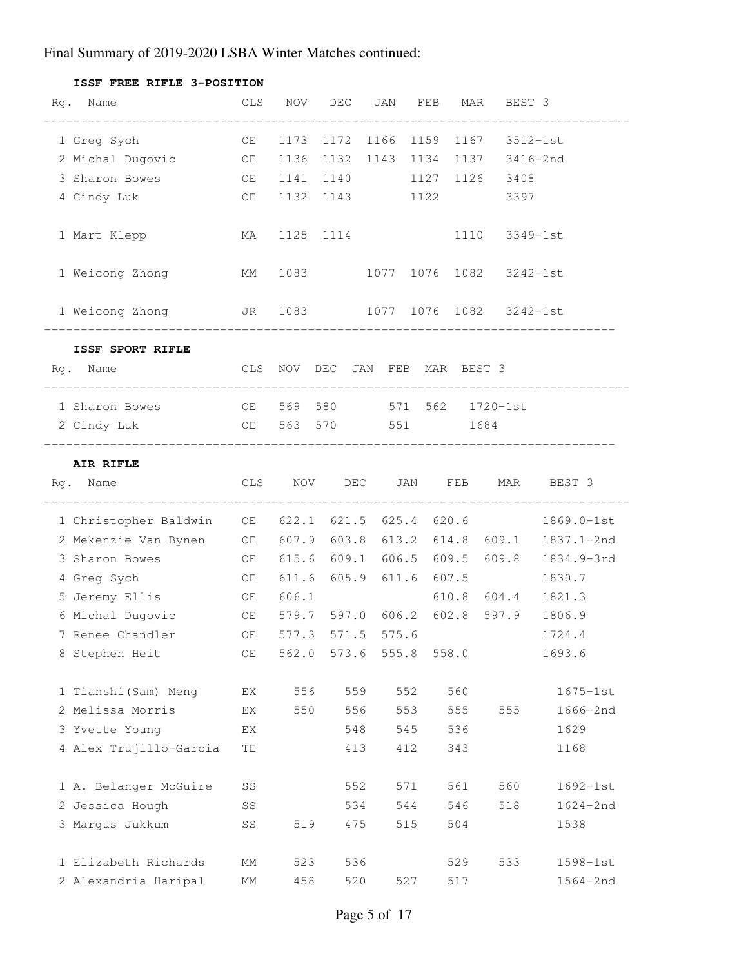| ISSF FREE RIFLE 3-POSITION                                                                         |    |       |                   |     |       |                         |       |                                   |                                |
|----------------------------------------------------------------------------------------------------|----|-------|-------------------|-----|-------|-------------------------|-------|-----------------------------------|--------------------------------|
| Rg. Name                                                                                           |    |       |                   |     |       |                         |       | CLS NOV DEC JAN FEB MAR BEST 3    |                                |
| 1 Greg Sych                                                                                        | OE | 1173  |                   |     |       |                         |       | 1172 1166 1159 1167 3512-1st      |                                |
| 2 Michal Dugovic OE                                                                                |    |       |                   |     |       |                         |       | 1136 1132 1143 1134 1137 3416-2nd |                                |
| 3 Sharon Bowes<br><b>OE</b>                                                                        |    |       |                   |     |       |                         |       | 1141 1140 1127 1126 3408          |                                |
| 4 Cindy Luk                                                                                        | OE |       |                   |     |       |                         |       | 1132 1143 1122 3397               |                                |
| 1 Mart Klepp                                                                                       | MA |       | 1125 1114         |     |       |                         |       | 1110 3349-1st                     |                                |
| 1 Weicong Zhong<br>MM                                                                              |    |       |                   |     |       |                         |       | 1083 1077 1076 1082 3242-1st      |                                |
| 1 Weicong Zhong           JR   1083         1077   1076   1082     3242-1st<br>___________________ |    |       |                   |     |       |                         |       |                                   |                                |
| ISSF SPORT RIFLE                                                                                   |    |       |                   |     |       |                         |       |                                   |                                |
| Rg. Name<br>CLS NOV DEC JAN FEB MAR BEST 3                                                         |    |       |                   |     |       |                         |       |                                   |                                |
| 1 Sharon Bowes 60 CE 569 580 571 562 1720-1st                                                      |    |       |                   |     |       |                         |       |                                   |                                |
| OE 563 570 551 1684<br>2 Cindy Luk                                                                 |    |       |                   |     |       |                         |       |                                   |                                |
| AIR RIFLE                                                                                          |    |       |                   |     |       |                         |       |                                   |                                |
| Rg. Name                                                                                           |    |       |                   |     |       |                         |       |                                   | CLS NOV DEC JAN FEB MAR BEST 3 |
| 1 Christopher Baldwin OE 622.1 621.5 625.4 620.6                                                   |    |       |                   |     |       |                         |       |                                   | $1869.0 - 1st$                 |
| 2 Mekenzie Van Bynen OE 607.9 603.8 613.2 614.8 609.1 1837.1-2nd                                   |    |       |                   |     |       |                         |       |                                   |                                |
| 3 Sharon Bowes<br><b>STATE OF STATE OF STATE OF STATE</b>                                          |    |       |                   |     |       |                         |       | 615.6 609.1 606.5 609.5 609.8     | 1834.9-3rd                     |
| 4 Greg Sych                                                                                        | OE |       |                   |     |       | 611.6 605.9 611.6 607.5 |       |                                   | 1830.7                         |
| 5 Jeremy Ellis                                                                                     | OE | 606.1 |                   |     |       |                         |       | 610.8 604.4                       | 1821.3                         |
| 6 Michal Dugovic                                                                                   | OE |       | 579.7 597.0 606.2 |     |       |                         | 602.8 | 597.9                             | 1806.9                         |
| 7 Renee Chandler                                                                                   | ОE | 577.3 | 571.5             |     | 575.6 |                         |       |                                   | 1724.4                         |
| 8 Stephen Heit                                                                                     | ОE | 562.0 | 573.6             |     | 555.8 |                         | 558.0 |                                   | 1693.6                         |
| 1 Tianshi (Sam) Meng                                                                               | ΕX | 556   |                   | 559 | 552   |                         | 560   |                                   | $1675 - 1st$                   |
| 2 Melissa Morris                                                                                   | EX | 550   |                   | 556 | 553   |                         | 555   | 555                               | 1666-2nd                       |
| 3 Yvette Young                                                                                     | ЕX |       |                   | 548 | 545   |                         | 536   |                                   | 1629                           |
| 4 Alex Trujillo-Garcia                                                                             | TΕ |       |                   | 413 | 412   |                         | 343   |                                   | 1168                           |
| 1 A. Belanger McGuire                                                                              | SS |       |                   | 552 | 571   |                         | 561   | 560                               | $1692 - 1st$                   |
| 2 Jessica Hough                                                                                    | SS |       |                   | 534 | 544   |                         | 546   | 518                               | $1624 - 2nd$                   |
| 3 Margus Jukkum                                                                                    | SS | 519   |                   | 475 | 515   |                         | 504   |                                   | 1538                           |
| 1 Elizabeth Richards                                                                               | MM | 523   |                   | 536 |       |                         | 529   | 533                               | 1598-1st                       |
| 2 Alexandria Haripal                                                                               | MM | 458   |                   | 520 | 527   |                         | 517   |                                   | $1564 - 2nd$                   |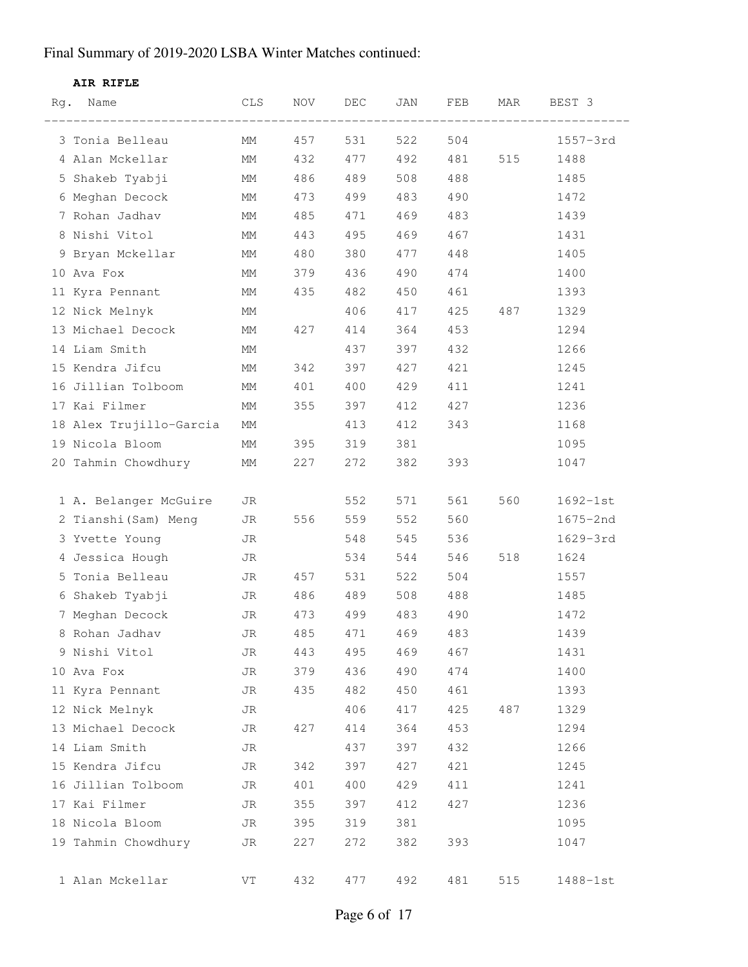#### **AIR RIFLE**

| Rg. | Name                    | CLS | NOV. | DEC | JAN | FEB | MAR | BEST 3       |
|-----|-------------------------|-----|------|-----|-----|-----|-----|--------------|
|     | 3 Tonia Belleau         | МM  | 457  | 531 | 522 | 504 |     | $1557 - 3rd$ |
|     | 4 Alan Mckellar         | МM  | 432  | 477 | 492 | 481 | 515 | 1488         |
|     | 5 Shakeb Tyabji         | MМ  | 486  | 489 | 508 | 488 |     | 1485         |
|     | 6 Meghan Decock         | МM  | 473  | 499 | 483 | 490 |     | 1472         |
|     | 7 Rohan Jadhav          | МM  | 485  | 471 | 469 | 483 |     | 1439         |
|     | 8 Nishi Vitol           | МM  | 443  | 495 | 469 | 467 |     | 1431         |
|     | 9 Bryan Mckellar        | МM  | 480  | 380 | 477 | 448 |     | 1405         |
|     | 10 Ava Fox              | МM  | 379  | 436 | 490 | 474 |     | 1400         |
|     | 11 Kyra Pennant         | МM  | 435  | 482 | 450 | 461 |     | 1393         |
|     | 12 Nick Melnyk          | МM  |      | 406 | 417 | 425 | 487 | 1329         |
|     | 13 Michael Decock       | МM  | 427  | 414 | 364 | 453 |     | 1294         |
|     | 14 Liam Smith           | МM  |      | 437 | 397 | 432 |     | 1266         |
|     | 15 Kendra Jifcu         | МM  | 342  | 397 | 427 | 421 |     | 1245         |
|     | 16 Jillian Tolboom      | МM  | 401  | 400 | 429 | 411 |     | 1241         |
|     | 17 Kai Filmer           | МM  | 355  | 397 | 412 | 427 |     | 1236         |
|     | 18 Alex Trujillo-Garcia | МM  |      | 413 | 412 | 343 |     | 1168         |
|     | 19 Nicola Bloom         | МM  | 395  | 319 | 381 |     |     | 1095         |
|     | 20 Tahmin Chowdhury     | МM  | 227  | 272 | 382 | 393 |     | 1047         |
|     |                         |     |      |     |     |     |     |              |
|     | 1 A. Belanger McGuire   | JR  |      | 552 | 571 | 561 | 560 | $1692 - 1st$ |
|     | 2 Tianshi (Sam) Meng    | JR  | 556  | 559 | 552 | 560 |     | 1675-2nd     |
|     | 3 Yvette Young          | JR  |      | 548 | 545 | 536 |     | 1629-3rd     |
|     | 4 Jessica Hough         | JR  |      | 534 | 544 | 546 | 518 | 1624         |
|     | 5 Tonia Belleau         | JR  | 457  | 531 | 522 | 504 |     | 1557         |
|     | 6 Shakeb Tyabji         | JR  | 486  | 489 | 508 | 488 |     | 1485         |
|     | 7 Meghan Decock         | JR  | 473  | 499 | 483 | 490 |     | 1472         |
|     | 8 Rohan Jadhav          | JR  | 485  | 471 | 469 | 483 |     | 1439         |
|     | 9 Nishi Vitol           | JR  | 443  | 495 | 469 | 467 |     | 1431         |
|     | 10 Ava Fox              | JR  | 379  | 436 | 490 | 474 |     | 1400         |
|     | 11 Kyra Pennant         | JR  | 435  | 482 | 450 | 461 |     | 1393         |
|     | 12 Nick Melnyk          | JR  |      | 406 | 417 | 425 | 487 | 1329         |
|     | 13 Michael Decock       | JR  | 427  | 414 | 364 | 453 |     | 1294         |
|     | 14 Liam Smith           | JR  |      | 437 | 397 | 432 |     | 1266         |
|     | 15 Kendra Jifcu         | JR  | 342  | 397 | 427 | 421 |     | 1245         |
|     | 16 Jillian Tolboom      | JR  | 401  | 400 | 429 | 411 |     | 1241         |
|     | 17 Kai Filmer           | JR  | 355  | 397 | 412 | 427 |     | 1236         |
|     | 18 Nicola Bloom         | JR  | 395  | 319 | 381 |     |     | 1095         |
|     | 19 Tahmin Chowdhury     | JR  | 227  | 272 | 382 | 393 |     | 1047         |
|     |                         |     |      |     |     |     |     |              |
|     | 1 Alan Mckellar         | VT  | 432  | 477 | 492 | 481 | 515 | 1488-1st     |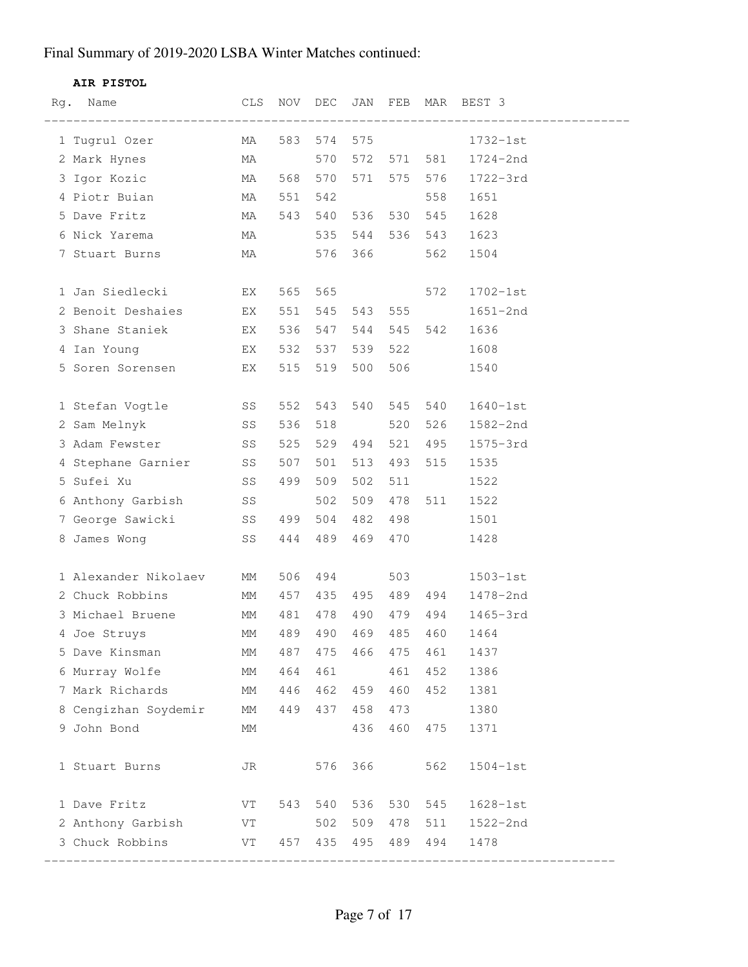#### **AIR PISTOL**

| Rg. | Name                                 | CLS       |     | NOV DEC     | JAN     |         |                 | FEB MAR BEST 3 |
|-----|--------------------------------------|-----------|-----|-------------|---------|---------|-----------------|----------------|
|     | 1 Tugrul Ozer MA                     |           |     |             |         |         | 583 574 575     | 1732-1st       |
|     | 2 Mark Hynes                         | MA        |     |             |         |         | 570 572 571 581 | 1724-2nd       |
|     | 3 Igor Kozic MA                      |           |     | 568 570     |         |         | 571 575 576     | 1722-3rd       |
|     | 4 Piotr Buian<br><b>MA</b>           |           | 551 |             |         |         | 558             | 1651           |
|     | 5 Dave Fritz                         | MA        |     | 543 540 536 |         |         | 530 545         | 1628           |
|     | 6 Nick Yarema MA 535 544 536 543     |           |     |             |         |         |                 | 1623           |
|     | 7 Stuart Burns                       | <b>MA</b> |     |             | 576 366 |         | 562             | 1504           |
|     |                                      |           |     |             |         |         |                 |                |
|     | 1 Jan Siedlecki<br>EX <sub>ext</sub> |           | 565 |             |         | 565 300 | 572             | $1702 - 1st$   |
|     | 2 Benoit Deshaies EX                 |           | 551 |             |         |         | 545 543 555     | $1651 - 2nd$   |
|     | 3 Shane Staniek EX                   |           | 536 | 547 544     |         |         | 545 542         | 1636           |
|     | 4 Ian Young EX                       |           | 532 | 537         | 539     |         | 522             | 1608           |
|     | 5 Soren Sorensen EX                  |           | 515 |             | 519 500 |         | 506             | 1540           |
|     |                                      |           |     |             |         |         |                 |                |
|     | 1 Stefan Vogtle SS                   |           | 552 | 543         | 540     |         | 545 540         | $1640 - 1st$   |
|     | 2 Sam Melnyk SS                      |           | 536 | 518         |         | 520     | 526             | 1582-2nd       |
|     | 3 Adam Fewster SS                    |           | 525 | 529 494     |         | 521     | 495             | $1575 - 3rd$   |
|     | 4 Stephane Garnier SS                |           | 507 | 501         | 513     | 493     | 515             | 1535           |
|     | SS<br>5 Sufei Xu                     |           | 499 | 509         | 502     | 511     |                 | 1522           |
|     | 6 Anthony Garbish SS                 |           |     | 502         | 509     | 478     | 511             | 1522           |
|     | 7 George Sawicki SS 499              |           |     | 504 482     |         | 498     |                 | 1501           |
|     | 8 James Wong                         | SS        | 444 | 489         | 469     | 470     |                 | 1428           |
|     |                                      |           |     |             |         |         |                 |                |
|     | 1 Alexander Nikolaev MM              |           | 506 | 494         |         |         | 503 000         | $1503 - 1st$   |
|     | 2 Chuck Robbins                      | MM        | 457 | 435 495     |         |         | 489 494         | 1478-2nd       |
|     | 3 Michael Bruene MM                  |           | 481 |             | 478 490 |         | 479 494         | $1465 - 3rd$   |
|     | 4 Joe Struys                         | МM        | 489 | 490         | 469     | 485     | 460             | 1464           |
|     | 5 Dave Kinsman                       | МM        | 487 | 475         | 466     | 475     | 461             | 1437           |
|     | 6 Murray Wolfe                       | МM        | 464 | 461         |         | 461     | 452             | 1386           |
|     | 7 Mark Richards                      | МM        | 446 | 462         | 459     | 460     | 452             | 1381           |
|     | 8 Cengizhan Soydemir                 | МM        | 449 | 437         | 458     | 473     |                 | 1380           |
|     | 9 John Bond                          | МM        |     |             | 436     | 460     | 475             | 1371           |
|     |                                      |           |     |             |         |         |                 |                |
|     | 1 Stuart Burns                       | JR        |     | 576         | 366     |         | 562             | $1504-1st$     |
|     |                                      |           |     |             |         |         |                 |                |
|     | 1 Dave Fritz                         | VT        | 543 | 540         | 536     | 530     | 545             | $1628 - 1st$   |
|     | 2 Anthony Garbish                    | VT        |     | 502         | 509     | 478     | 511             | 1522-2nd       |
|     | 3 Chuck Robbins                      | VT        | 457 | 435         | 495     | 489     | 494             | 1478           |
|     |                                      |           |     |             |         |         |                 |                |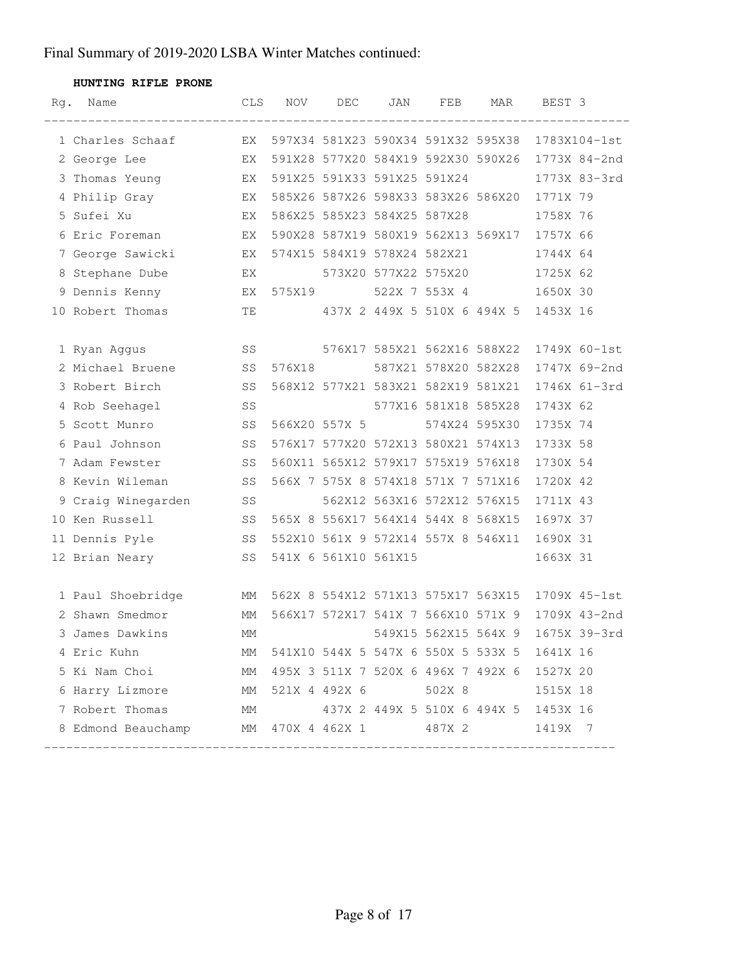**HUNTING RIFLE PRONE**

| Rg. | Name                                                                  | CLS | NOV    | DEC                         | JAN | FEB                                | MAR                                                | BEST 3       |  |
|-----|-----------------------------------------------------------------------|-----|--------|-----------------------------|-----|------------------------------------|----------------------------------------------------|--------------|--|
|     | 1 Charles Schaaf                                                      |     |        |                             |     |                                    | EX 597X34 581X23 590X34 591X32 595X38 1783X104-1st |              |  |
|     | 2 George Lee X EX 591X28 577X20 584X19 592X30 590X26 1773X 84-2nd     |     |        |                             |     |                                    |                                                    |              |  |
|     | 3 Thomas Yeung BX                                                     |     |        | 591X25 591X33 591X25 591X24 |     |                                    |                                                    | 1773X 83-3rd |  |
|     | 4 Philip Gray 67 EX 585X26 587X26 598X33 583X26 586X20 1771X 79       |     |        |                             |     |                                    |                                                    |              |  |
|     | EX<br>5 Sufei Xu                                                      |     |        |                             |     |                                    | 586X25 585X23 584X25 587X28                        | 1758X 76     |  |
|     | 6 Eric Foreman<br><b>EX</b>                                           |     |        |                             |     |                                    | 590X28 587X19 580X19 562X13 569X17 1757X 66        |              |  |
|     | 7 George Sawicki KX 574X15 584X19 578X24 582X21                       |     |        |                             |     |                                    |                                                    | 1744X 64     |  |
|     | EX 573X20 577X22 575X20<br>8 Stephane Dube                            |     |        |                             |     |                                    |                                                    | 1725X 62     |  |
|     | 9 Dennis Kenny           EX 575X19       522X 7 553X 4       1650X 30 |     |        |                             |     |                                    |                                                    |              |  |
|     | 10 Robert Thomas TE                                                   |     |        |                             |     |                                    | 437X 2 449X 5 510X 6 494X 5 1453X 16               |              |  |
|     |                                                                       |     |        |                             |     |                                    |                                                    |              |  |
|     | SS 576X17 585X21 562X16 588X22<br>1 Ryan Aggus                        |     |        |                             |     |                                    |                                                    | 1749X 60-1st |  |
|     | 2 Michael Bruene SS                                                   |     | 576X18 |                             |     | 587X21 578X20 582X28               |                                                    | 1747X 69-2nd |  |
|     | SS<br>3 Robert Birch                                                  |     |        |                             |     | 568X12 577X21 583X21 582X19 581X21 |                                                    | 1746X 61-3rd |  |
|     | 4 Rob Seehagel                                                        | SS  |        |                             |     | 577X16 581X18 585X28               |                                                    | 1743X 62     |  |
|     | 5 Scott Munro<br>SS <sub>S</sub>                                      |     |        |                             |     | 566X20 557X 5 574X24 595X30        |                                                    | 1735X 74     |  |
|     | SS<br>6 Paul Johnson                                                  |     |        |                             |     |                                    | 576X17 577X20 572X13 580X21 574X13                 | 1733X 58     |  |
|     | 7 Adam Fewster<br><b>SS</b> SS                                        |     |        |                             |     | 560X11 565X12 579X17 575X19 576X18 |                                                    | 1730X 54     |  |
|     | <b>SS</b><br>8 Kevin Wileman                                          |     |        |                             |     | 566X 7 575X 8 574X18 571X 7 571X16 |                                                    | 1720X 42     |  |
|     | 9 Craig Winegarden SS                                                 |     |        |                             |     |                                    | 562X12 563X16 572X12 576X15                        | 1711X 43     |  |
|     | 10 Ken Russell SS                                                     |     |        |                             |     | 565X 8 556X17 564X14 544X 8 568X15 |                                                    | 1697X 37     |  |
|     | <b>SS</b><br>11 Dennis Pyle                                           |     |        |                             |     |                                    | 552X10 561X 9 572X14 557X 8 546X11 1690X 31        |              |  |
|     | 12 Brian Neary SS                                                     |     |        | 541X 6 561X10 561X15        |     |                                    |                                                    | 1663X 31     |  |
|     |                                                                       |     |        |                             |     |                                    |                                                    |              |  |
|     | 1 Paul Shoebridge MM 562X 8 554X12 571X13 575X17 563X15 1709X 45-1st  |     |        |                             |     |                                    |                                                    |              |  |
|     | 2 Shawn Smedmor<br><b>EXAMPLE 1999</b>                                |     |        |                             |     |                                    | 566X17 572X17 541X 7 566X10 571X 9 1709X 43-2nd    |              |  |
|     | 3 James Dawkins                                                       | МM  |        |                             |     | 549X15 562X15 564X 9               |                                                    | 1675X 39-3rd |  |
|     | 4 Eric Kuhn                                                           | MM  |        |                             |     |                                    | 541X10 544X 5 547X 6 550X 5 533X 5 1641X 16        |              |  |
|     | 5 Ki Nam Choi                                                         |     |        |                             |     |                                    | MM 495X 3 511X 7 520X 6 496X 7 492X 6 1527X 20     |              |  |
|     | 6 Harry Lizmore MM 521X 4 492X 6 502X 8 1515X 18                      |     |        |                             |     |                                    |                                                    |              |  |
|     | 7 Robert Thomas MM 437X 2 449X 5 510X 6 494X 5 1453X 16               |     |        |                             |     |                                    |                                                    |              |  |
|     | 8 Edmond Beauchamp MM 470X 4 462X 1 487X 2 1419X 7                    |     |        |                             |     |                                    |                                                    |              |  |
|     |                                                                       |     |        |                             |     |                                    |                                                    |              |  |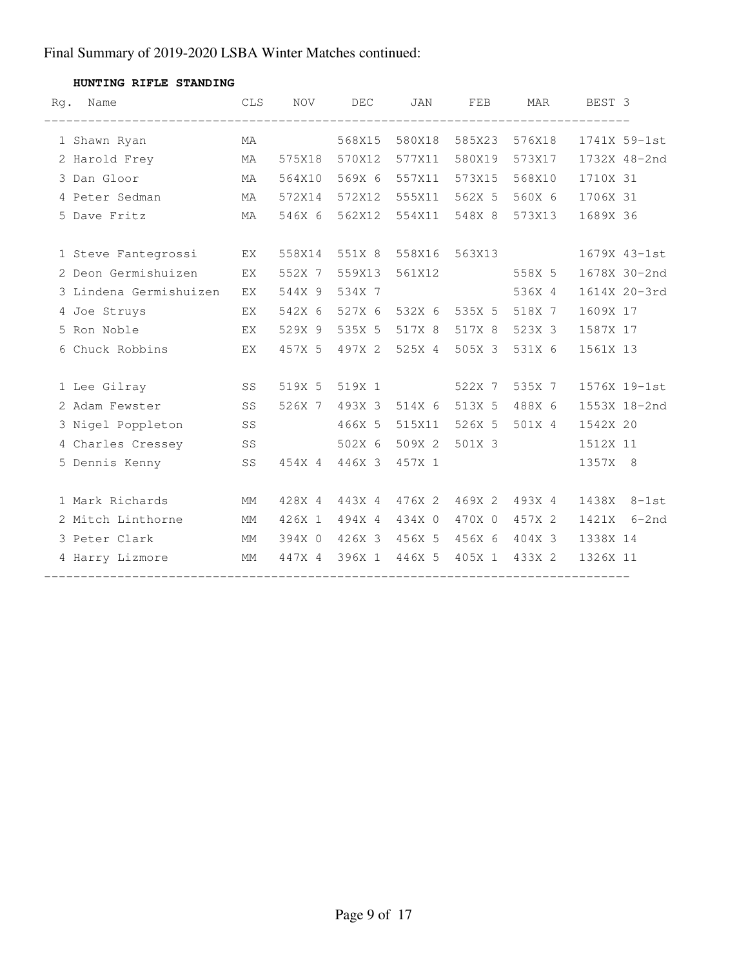| Rq. | Name<br>________________________ | $\mathtt{CLS}$ | <b>NOV</b>    | DEC           | JAN           | FEB           | MAR           | BEST 3   |              |
|-----|----------------------------------|----------------|---------------|---------------|---------------|---------------|---------------|----------|--------------|
|     | 1 Shawn Ryan                     | MA             |               | 568X15        | 580X18        | 585X23        | 576X18        |          | 1741X 59-1st |
|     | 2 Harold Frey                    | MA             | 575X18        | 570X12        | 577X11        | 580X19        | 573X17        |          | 1732X 48-2nd |
|     | 3 Dan Gloor                      | MA             | 564X10        | 569X 6        | 557X11        | 573X15        | 568X10        | 1710X 31 |              |
|     | 4 Peter Sedman                   | MA             | 572X14        | 572X12        | 555X11        | 562X 5        | 560X 6        | 1706X 31 |              |
|     | 5 Dave Fritz                     | МA             | 546X 6        | 562X12        | 554X11        | 548X 8        | 573X13        | 1689X 36 |              |
|     | 1 Steve Fantegrossi              | EX             | 558X14        | 551X 8        |               | 558X16 563X13 |               |          | 1679X 43-1st |
|     | 2 Deon Germishuizen              | EX             | 552X 7        | 559X13        | 561X12        |               | 558X 5        |          | 1678X 30-2nd |
|     | 3 Lindena Germishuizen           | EX             | 544X 9        | 534X 7        |               |               | 536X 4        |          | 1614X 20-3rd |
|     | 4 Joe Struys                     | EX             | 542X 6        | 527X 6        |               | 532X 6 535X 5 | 518X 7        | 1609X 17 |              |
|     | 5 Ron Noble                      | ΕX             | 529X 9        | 535X 5        | 517X 8        | 517X 8        | 523X 3        | 1587X 17 |              |
|     | 6 Chuck Robbins                  | EX             | 457X 5        | 497X 2        | 525X 4        | 505X 3        | 531X 6        | 1561X 13 |              |
|     | 1 Lee Gilray                     | SS             | 519X 5 519X 1 |               |               | 522X 7        | 535X 7        |          | 1576X 19-1st |
|     | 2 Adam Fewster                   | SS             |               | 526X 7 493X 3 | 514X 6        | 513X 5        | 488X 6        |          | 1553X 18-2nd |
|     | 3 Nigel Poppleton                | SS             |               | 466X 5        | 515X11        | 526X 5        | 501X 4        | 1542X 20 |              |
|     | 4 Charles Cressey                | SS             |               | 502X 6        | 509X 2        | 501X 3        |               | 1512X 11 |              |
|     | 5 Dennis Kenny SS                |                |               | 454X 4 446X 3 | 457X 1        |               |               | 1357X 8  |              |
|     | 1 Mark Richards                  | МM             | 428X 4        | 443X 4        | 476X 2        | 469X 2        | 493X 4        |          | 1438X 8-1st  |
|     | 2 Mitch Linthorne                | МM             | 426X 1        | 494X 4        | 434X 0        | 470X 0        | 457X 2        | 1421X    | $6 - 2nd$    |
|     | 3 Peter Clark                    | МM             | 394X 0        |               | 426X 3 456X 5 |               | 456X 6 404X 3 | 1338X 14 |              |
|     | 4 Harry Lizmore                  | MM             | 447X 4        | 396X 1        | 446X 5        | 405X 1        | 433X 2        | 1326X 11 |              |

#### **HUNTING RIFLE STANDING**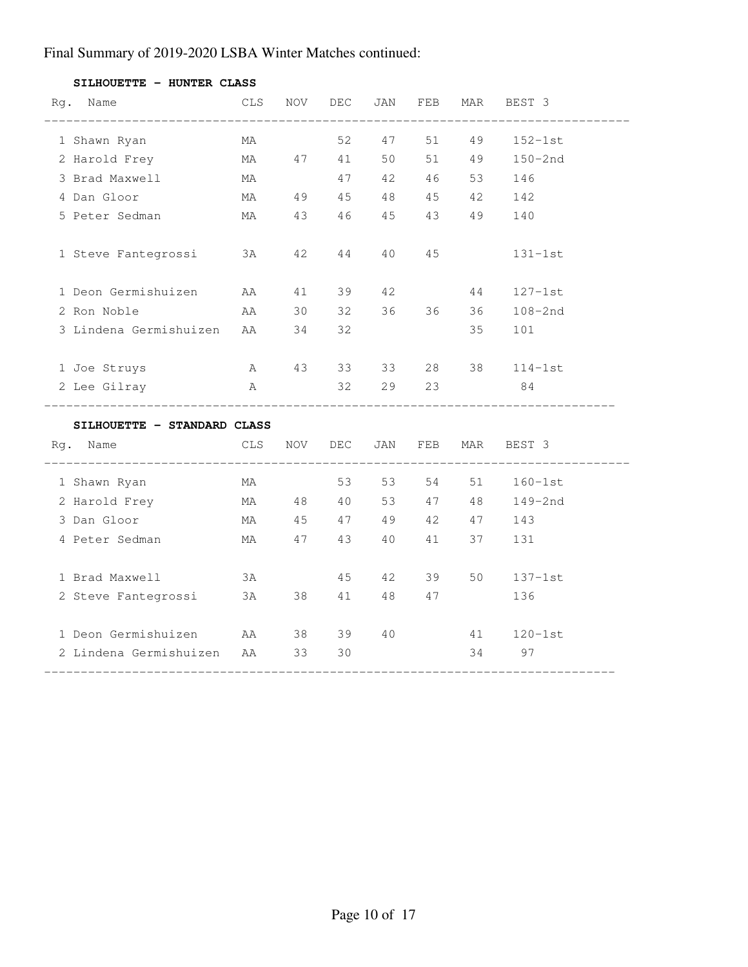| Rg. Name                              | CLS        | NOV | DEC   | JAN               | FEB   | MAR  | BEST 3                     |
|---------------------------------------|------------|-----|-------|-------------------|-------|------|----------------------------|
| 1 Shawn Ryan                          | MA         |     |       | 52 47 51          |       | 49   | $152-1st$                  |
| 2 Harold Frey                         |            |     |       | MA 47 41 50 51 49 |       |      | $150 - 2nd$                |
| 3 Brad Maxwell                        | MA         |     |       | 47 42 46          |       | 53   | 146                        |
| 4 Dan Gloor                           |            |     |       | MA 49 45 48 45    |       | 42   | 142                        |
| 5 Peter Sedman                        |            |     |       | MA 43 46 45 43 49 |       |      | 140                        |
| 1 Steve Fantegrossi 3A                |            | 42  |       | 44 40             | 45    |      | $131 - 1st$                |
| 1 Deon Germishuizen AA                |            | 41  |       | 39 42             |       | 44   | $127 - 1st$                |
| 2 Ron Noble                           | AA         | 30  | 32    |                   | 36 36 | 36 — | $108 - 2nd$                |
| 3 Lindena Germishuizen AA 34          |            |     | 32    |                   |       | 35   | 101                        |
| 1 Joe Struys                          |            |     |       | A 43 33 33 28 38  |       |      | $114-1st$                  |
| 2 Lee Gilray<br>A <sub>2</sub>        |            |     |       | 32 29 23          |       |      | 84                         |
| SILHOUETTE - STANDARD CLASS           |            |     |       |                   |       |      |                            |
| Rg. Name<br>_________________________ | <b>CLS</b> |     |       |                   |       |      | NOV DEC JAN FEB MAR BEST 3 |
| 1 Shawn Ryan                          | MA         |     |       | 53 53 54 51       |       |      | $160-1st$                  |
| 2 Harold Frey                         |            |     |       | MA 48 40 53 47 48 |       |      | 149–2nd                    |
| 3 Dan Gloor San March 1986            |            |     |       | MA 45 47 49 42 47 |       |      | 143                        |
| 4 Peter Sedman                        |            |     |       | MA 47 43 40 41    |       | 37   | 131                        |
| 1 Brad Maxwell                        | 3A         |     |       | 45 42 39          |       | 50   | $137 - 1st$                |
| 2 Steve Fantegrossi 3A 38             |            |     |       | 41 48 47          |       |      | 136                        |
| 1 Deon Germishuizen AA                |            |     | 38 39 | 40                |       | 41   | $120-1st$                  |
| 2 Lindena Germishuizen - AA           |            | 33  | 30    |                   |       |      | 34 97                      |

**SILHOUETTE - HUNTER CLASS**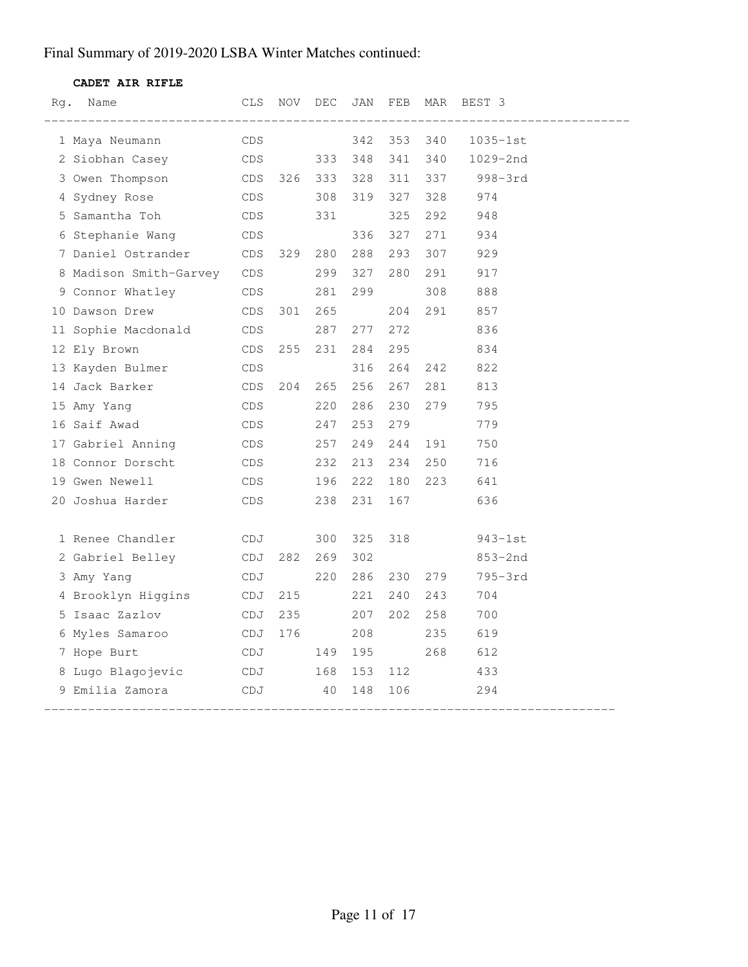#### **CADET AIR RIFLE**

| Rg. | Name                              | CLS        | NOV | DEC     | JAN | FEB | MAR | BEST 3       |
|-----|-----------------------------------|------------|-----|---------|-----|-----|-----|--------------|
|     | 1 Maya Neumann                    | <b>CDS</b> |     |         | 342 | 353 | 340 | $1035 - 1st$ |
|     | 2 Siobhan Casey                   | <b>CDS</b> |     | 333     | 348 | 341 | 340 | 1029-2nd     |
|     | 3 Owen Thompson<br>CDS            |            | 326 | 333 328 |     | 311 | 337 | $998 - 3rd$  |
|     | 4 Sydney Rose                     | CDS        |     | 308     | 319 | 327 | 328 | 974          |
|     | 5 Samantha Toh                    | CDS        |     | 331     |     | 325 | 292 | 948          |
|     | 6 Stephanie Wang                  | CDS        |     |         | 336 | 327 | 271 | 934          |
|     | 7 Daniel Ostrander CDS            |            | 329 | 280     | 288 | 293 | 307 | 929          |
|     | 8 Madison Smith-Garvey CDS        |            |     | 299     | 327 | 280 | 291 | 917          |
|     | 9 Connor Whatley<br><b>CDS</b>    |            |     | 281     | 299 |     | 308 | 888          |
|     | 10 Dawson Drew                    | CDS        | 301 | 265     |     | 204 | 291 | 857          |
|     | 11 Sophie Macdonald<br><b>CDS</b> |            |     | 287     | 277 | 272 |     | 836          |
|     | 12 Ely Brown                      | CDS        | 255 | 231     | 284 | 295 |     | 834          |
|     | 13 Kayden Bulmer                  | CDS        |     |         | 316 | 264 | 242 | 822          |
|     | 14 Jack Barker                    | CDS        | 204 | 265     | 256 | 267 | 281 | 813          |
|     | 15 Amy Yang                       | CDS.       |     | 220     | 286 | 230 | 279 | 795          |
|     | 16 Saif Awad                      | CDS        |     | 247     | 253 | 279 |     | 779          |
|     | 17 Gabriel Anning                 | CDS        |     | 257     | 249 | 244 | 191 | 750          |
|     | 18 Connor Dorscht                 | CDS        |     | 232     | 213 | 234 | 250 | 716          |
|     | 19 Gwen Newell                    | CDS        |     | 196     | 222 | 180 | 223 | 641          |
|     | 20 Joshua Harder                  | CDS        |     | 238     | 231 | 167 |     | 636          |
|     |                                   |            |     |         |     |     |     |              |
|     | 1 Renee Chandler                  | CDJ        |     | 300     | 325 | 318 |     | $943-1st$    |
|     | 2 Gabriel Belley                  | CDJ        | 282 | 269     | 302 |     |     | $853 - 2nd$  |
|     | 3 Amy Yang                        | CDJ        |     | 220     | 286 | 230 | 279 | 795-3rd      |
|     | 4 Brooklyn Higgins<br>CDJ         |            | 215 |         | 221 | 240 | 243 | 704          |
|     | 5 Isaac Zazlov                    | CDJ        | 235 |         | 207 | 202 | 258 | 700          |
|     | 6 Myles Samaroo                   | CDJ        | 176 |         | 208 |     | 235 | 619          |
|     | 7 Hope Burt                       | CDJ        |     | 149     | 195 |     | 268 | 612          |
|     | 8 Lugo Blagojevic CDJ             |            |     | 168     | 153 | 112 |     | 433          |
|     | 9 Emilia Zamora                   | CDJ        |     | 40      | 148 | 106 |     | 294          |
|     |                                   |            |     |         |     |     |     |              |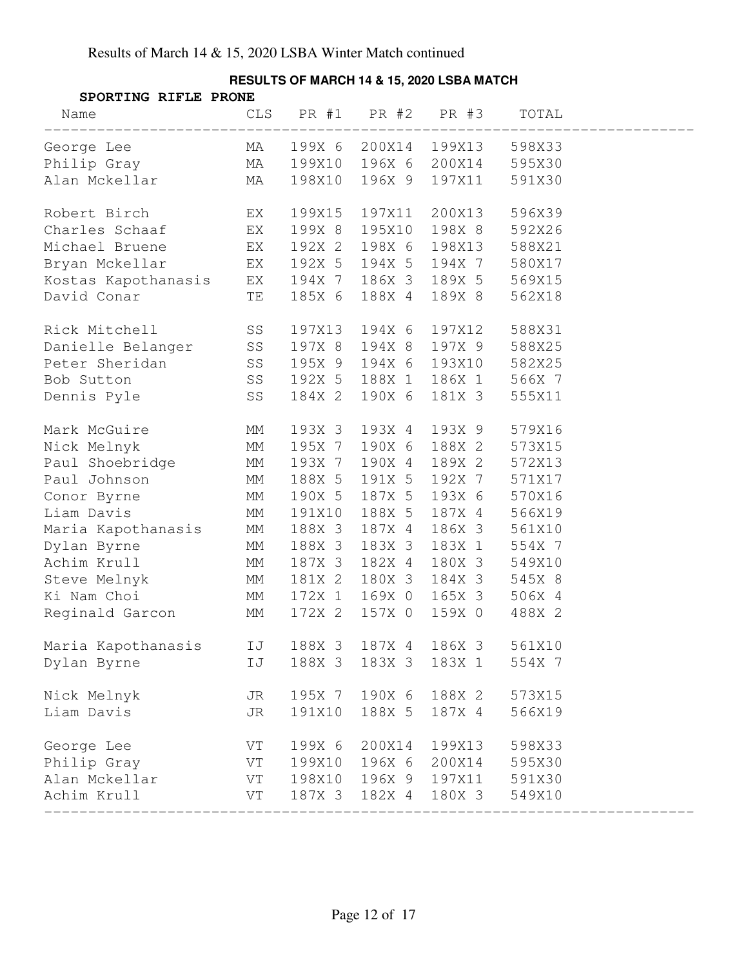| SPORTING RIFLE PRONE                      |    |        |        |                       |        |  |  |
|-------------------------------------------|----|--------|--------|-----------------------|--------|--|--|
|                                           |    |        |        | CLS PR #1 PR #2 PR #3 | TOTAL  |  |  |
| George Lee MA 199X 6 200X14 199X13 598X33 |    |        |        |                       |        |  |  |
| Philip Gray MA 199X10                     |    |        |        | 196X 6 200X14 595X30  |        |  |  |
| Alan Mckellar MA                          |    | 198X10 |        | 196X 9 197X11 591X30  |        |  |  |
| EX <sub>E</sub><br>Robert Birch           |    | 199X15 | 197X11 | 200X13                | 596X39 |  |  |
| Charles Schaaf EX                         |    | 199X 8 | 195X10 | 198X 8 592X26         |        |  |  |
| Michael Bruene EX                         |    | 192X 2 | 198X 6 | 198X13 588X21         |        |  |  |
| EX<br>Bryan Mckellar                      |    | 192X 5 |        | 194X 5 194X 7 580X17  |        |  |  |
| Kostas Kapothanasis EX                    |    | 194X 7 |        | 186X 3 189X 5 569X15  |        |  |  |
| <b>TE</b><br>David Conar                  |    | 185X 6 | 188X 4 | 189X 8                | 562X18 |  |  |
| Rick Mitchell SS                          |    | 197X13 | 194X 6 | 197X12 588X31         |        |  |  |
| Danielle Belanger SS                      |    | 197X 8 | 194X 8 | 197X 9                | 588X25 |  |  |
| Peter Sheridan<br>Bob Sutton SS           |    | 195X 9 |        | 194X 6 193X10 582X25  |        |  |  |
|                                           |    | 192X 5 |        | 188X 1 186X 1 566X 7  |        |  |  |
| Dennis Pyle SS                            |    | 184X 2 | 190X 6 | 181X 3                | 555X11 |  |  |
| <b>MM</b><br>Mark McGuire                 |    | 193X 3 | 193X 4 | 193X 9                | 579X16 |  |  |
| MM<br>Nick Melnyk                         |    | 195X 7 | 190X 6 | 188X 2                | 573X15 |  |  |
| Paul Shoebridge MM                        |    | 193X 7 | 190X 4 | 189X 2                | 572X13 |  |  |
| <b>MM</b><br>Paul Johnson                 |    | 188X 5 |        | 191X 5 192X 7 571X17  |        |  |  |
| MM<br>Conor Byrne                         |    | 190X 5 | 187X 5 | 193X 6 570X16         |        |  |  |
| Liam Davis                                | MM | 191X10 | 188X 5 | 187X 4 566X19         |        |  |  |
| Maria Kapothanasis MM                     |    | 188X 3 | 187X 4 | 186X 3                | 561X10 |  |  |
| Dylan Byrne                               | MM | 188X 3 | 183X 3 | 183X 1                | 554X 7 |  |  |
| Achim Krull                               | МM | 187X 3 | 182X 4 | 180X 3 549X10         |        |  |  |
| Steve Melnyk MM                           |    | 181X 2 |        | 180X 3 184X 3 545X 8  |        |  |  |
| Ki Nam Choi MM                            |    | 172X 1 | 169X 0 | 165X 3 506X 4         |        |  |  |
| Reginald Garcon                           | MM | 172X 2 | 157X 0 | 159X 0                | 488X 2 |  |  |
| Maria Kapothanasis                        | IJ | 188X 3 | 187X 4 | 186X 3                | 561X10 |  |  |
| Dylan Byrne                               | IJ | 188X 3 | 183X 3 | 183X 1                | 554X 7 |  |  |
| Nick Melnyk                               | JR | 195X 7 | 190X 6 | 188X 2                | 573X15 |  |  |
| Liam Davis                                | JR | 191X10 | 188X 5 | 187X 4                | 566X19 |  |  |
| George Lee                                | VT | 199X 6 | 200X14 | 199X13                | 598X33 |  |  |
| Philip Gray                               | VT | 199X10 | 196X 6 | 200X14                | 595X30 |  |  |
| Alan Mckellar                             | VT | 198X10 | 196X 9 | 197X11                | 591X30 |  |  |
| Achim Krull                               | VT | 187X 3 | 182X 4 | 180X 3                | 549X10 |  |  |

### **RESULTS OF MARCH 14 & 15, 2020 LSBA MATCH**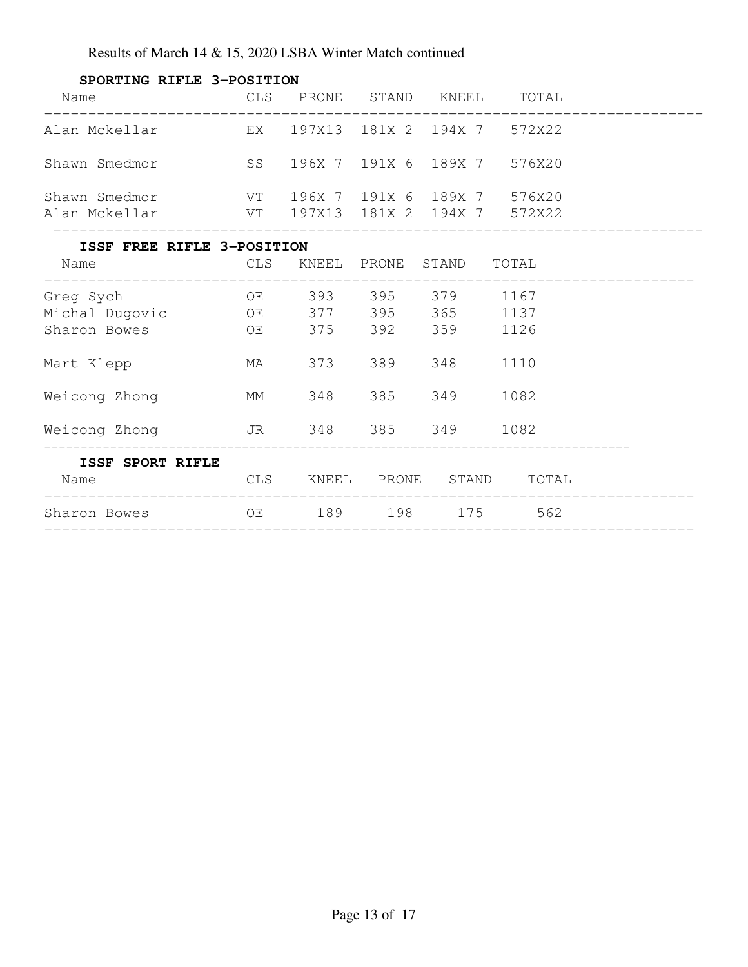| SPORTING RIFLE 3-POSITION                                      |  |                                                            |      |  |
|----------------------------------------------------------------|--|------------------------------------------------------------|------|--|
| Name                                                           |  | CLS PRONE STAND KNEEL TOTAL                                |      |  |
| Alan Mckellar $EX$ 197X13 181X 2 194X 7 572X22                 |  |                                                            |      |  |
| Shawn Smedmor 576X20 576X20                                    |  |                                                            |      |  |
| Shawn Smedmor                                                  |  | VT        196X   7     191X   6    189X   7         576X20 |      |  |
| Alan Mckellar Manus VT 197X13 181X 2 194X 7 572X22             |  |                                                            |      |  |
| ISSF FREE RIFLE 3-POSITION                                     |  |                                                            |      |  |
| Name                                                           |  | CLS KNEEL PRONE STAND TOTAL                                |      |  |
| Greg Sych                                                      |  | OE 393 395 379 1167                                        |      |  |
| Michal Dugovic 0E 377 395 365 1137                             |  |                                                            |      |  |
|                                                                |  |                                                            | 1126 |  |
| Mart Klepp                                                     |  | MA 373 389 348                                             | 1110 |  |
| MM<br>Weicong Zhong                                            |  | 348 385 349                                                | 1082 |  |
| Weicong Zhong TR 348 385 349 1082                              |  |                                                            |      |  |
| <b>ISSF SPORT RIFLE</b><br>CLS KNEEL PRONE STAND TOTAL<br>Name |  |                                                            |      |  |
| Sharon Bowes OE 189 198 175                                    |  |                                                            | 562  |  |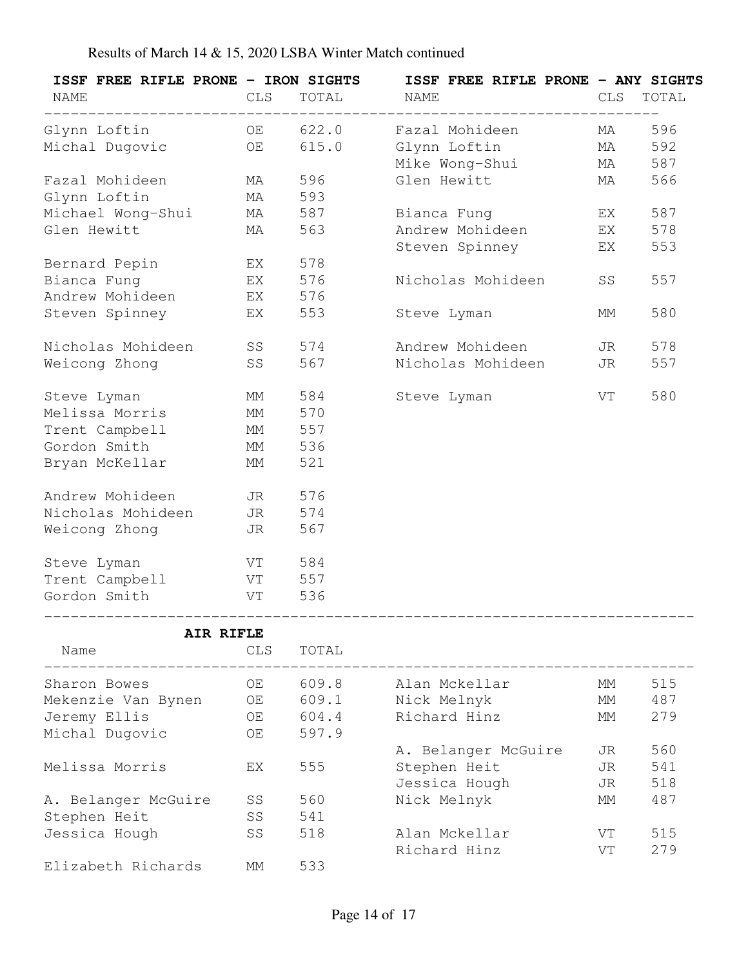| ISSF FREE RIFLE PRONE - IRON SIGHTS<br><b>NAME</b> | CLS        | TOTAL | ISSF FREE RIFLE PRONE - ANY SIGHTS<br><b>NAME</b> | CLS       | TOTAL |
|----------------------------------------------------|------------|-------|---------------------------------------------------|-----------|-------|
| Glynn Loftin CD 622.0                              |            |       | Fazal Mohideen                                    | MA        | 596   |
| Michal Dugovic                                     | OE         | 615.0 | Glynn Loftin                                      | <b>MA</b> | 592   |
|                                                    |            |       | Mike Wong-Shui                                    | MA        | 587   |
| Fazal Mohideen                                     | <b>MA</b>  | 596   | Glen Hewitt                                       | <b>MA</b> | 566   |
| Glynn Loftin                                       | <b>MA</b>  | 593   |                                                   |           |       |
| Michael Wong-Shui MA 587                           |            |       | Bianca Fung                                       | EX        | 587   |
| Glen Hewitt                                        | MA         | 563   | Andrew Mohideen                                   | EX        | 578   |
|                                                    |            |       | Steven Spinney                                    | EX        | 553   |
| Bernard Pepin                                      | EX         | 578   |                                                   |           |       |
| Bianca Fung<br><b>EX</b>                           |            | 576   | Nicholas Mohideen                                 | SS        | 557   |
| Andrew Mohideen EX 576                             |            |       |                                                   |           |       |
| Steven Spinney                                     | EX         | 553   | Steve Lyman                                       | MМ        | 580   |
| Nicholas Mohideen                                  | SS         | 574   | Andrew Mohideen                                   | JR        | 578   |
| Weicong Zhong                                      | SS         | 567   | Nicholas Mohideen                                 | JR        | 557   |
| Steve Lyman                                        | MM         | 584   | Steve Lyman                                       | VT        | 580   |
| Melissa Morris                                     | MM         | 570   |                                                   |           |       |
| Trent Campbell                                     | МM         | 557   |                                                   |           |       |
| Gordon Smith                                       | MM         | 536   |                                                   |           |       |
| Bryan McKellar                                     | MM         | 521   |                                                   |           |       |
| Andrew Mohideen                                    | JR 576     |       |                                                   |           |       |
| Nicholas Mohideen JR 574                           |            |       |                                                   |           |       |
| Weicong Zhong                                      | JR         | 567   |                                                   |           |       |
| Steve Lyman                                        | VT 584     |       |                                                   |           |       |
| Trent Campbell                                     | VT 557     |       |                                                   |           |       |
| Gordon Smith<br><b>Solution STATE</b>              |            | 536   |                                                   |           |       |
|                                                    | AIR RIFLE  |       |                                                   |           |       |
| Name                                               | <b>CLS</b> | TOTAL |                                                   |           |       |

| <b>INQILIE</b>      | فبلانا | $\perp$ $\cup$ $\perp$ $\perp$ $\perp$ |                     |    |     |
|---------------------|--------|----------------------------------------|---------------------|----|-----|
| Sharon Bowes        | OE     | 609.8                                  | Alan Mckellar       | MМ | 515 |
| Mekenzie Van Bynen  | ОE     | 609.1                                  | Nick Melnyk         | MМ | 487 |
| Jeremy Ellis        | OE.    | 604.4                                  | Richard Hinz        | MМ | 279 |
| Michal Dugovic      | OE     | 597.9                                  |                     |    |     |
|                     |        |                                        | A. Belanger McGuire | JR | 560 |
| Melissa Morris      | EX     | 555                                    | Stephen Heit        | JR | 541 |
|                     |        |                                        | Jessica Hough       | JR | 518 |
| A. Belanger McGuire | SS     | 560                                    | Nick Melnyk         | МM | 487 |
| Stephen Heit        | SS     | 541                                    |                     |    |     |
| Jessica Hough       | SS     | 518                                    | Alan Mckellar       | VT | 515 |
|                     |        |                                        | Richard Hinz        | VT | 279 |
| Elizabeth Richards  | MМ     | 533                                    |                     |    |     |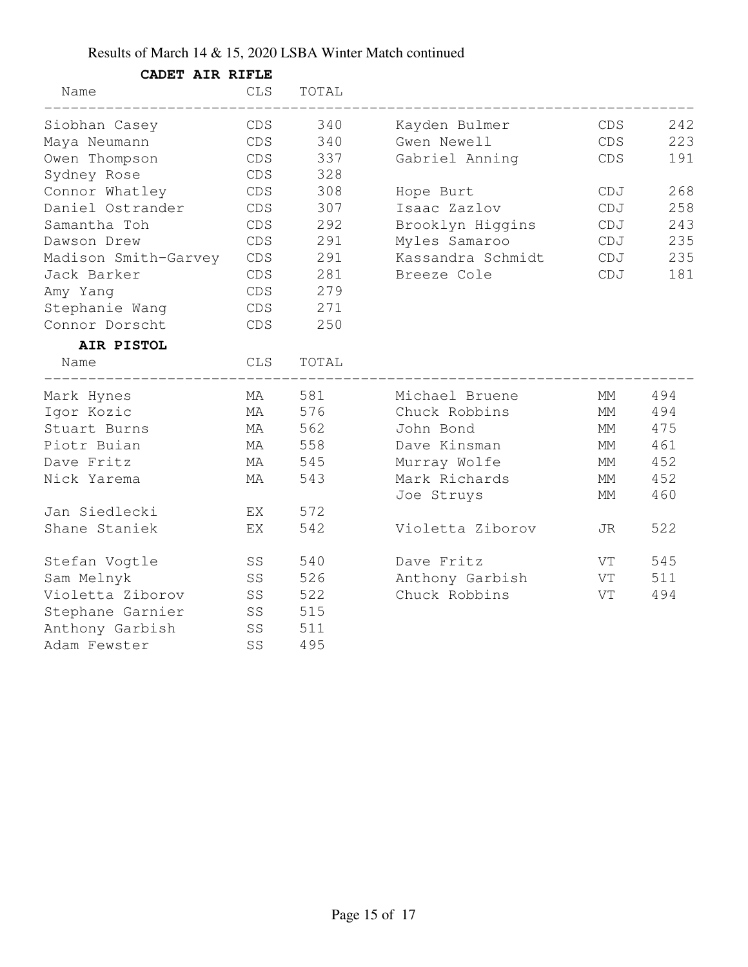| CADET AIR RIFLE      |                    |       |                   |     |     |
|----------------------|--------------------|-------|-------------------|-----|-----|
| Name                 | <b>CLS</b>         | TOTAL |                   |     |     |
| Siobhan Casey        | CDS                | 340   | Kayden Bulmer     | CDS | 242 |
| Maya Neumann         | CDS                | 340   | Gwen Newell       | CDS | 223 |
| Owen Thompson        | CDS                | 337   | Gabriel Anning    | CDS | 191 |
| Sydney Rose          | CDS                | 328   |                   |     |     |
| Connor Whatley       | CDS                | 308   | Hope Burt         | CDJ | 268 |
| Daniel Ostrander     | CDS                | 307   | Isaac Zazlov      | CDJ | 258 |
| Samantha Toh         | CDS                | 292   | Brooklyn Higgins  | CDJ | 243 |
| Dawson Drew          | CDS                | 291   | Myles Samaroo     | CDJ | 235 |
| Madison Smith-Garvey | CDS                | 291   | Kassandra Schmidt | CDJ | 235 |
| Jack Barker          | CDS                | 281   | Breeze Cole       | CDJ | 181 |
| Amy Yang             | CDS                | 279   |                   |     |     |
| Stephanie Wang       | CDS                | 271   |                   |     |     |
| Connor Dorscht       | CDS                | 250   |                   |     |     |
| AIR PISTOL           |                    |       |                   |     |     |
| Name                 | <b>CLS</b>         | TOTAL |                   |     |     |
| Mark Hynes           | ΜA                 | 581   | Michael Bruene    | МM  | 494 |
| Igor Kozic           | МA                 | 576   | Chuck Robbins     | МM  | 494 |
| Stuart Burns         | MA                 | 562   | John Bond         | МM  | 475 |
| Piotr Buian          | MA                 | 558   | Dave Kinsman      | МM  | 461 |
| Dave Fritz           | MA                 | 545   | Murray Wolfe      | МM  | 452 |
| Nick Yarema          | MA                 | 543   | Mark Richards     | МM  | 452 |
|                      |                    |       | Joe Struys        | МM  | 460 |
| Jan Siedlecki        | ΕX                 | 572   |                   |     |     |
| Shane Staniek        | EX                 | 542   | Violetta Ziborov  | JR. | 522 |
| Stefan Vogtle        | SS                 | 540   | Dave Fritz        | VT  | 545 |
| Sam Melnyk           | SS                 | 526   | Anthony Garbish   | VT  | 511 |
| Violetta Ziborov     | SS                 | 522   | Chuck Robbins     | VT  | 494 |
| Stephane Garnier     | SS                 | 515   |                   |     |     |
| Anthony Garbish      | ${\cal S}{\cal S}$ | 511   |                   |     |     |
| Adam Fewster         | SS                 | 495   |                   |     |     |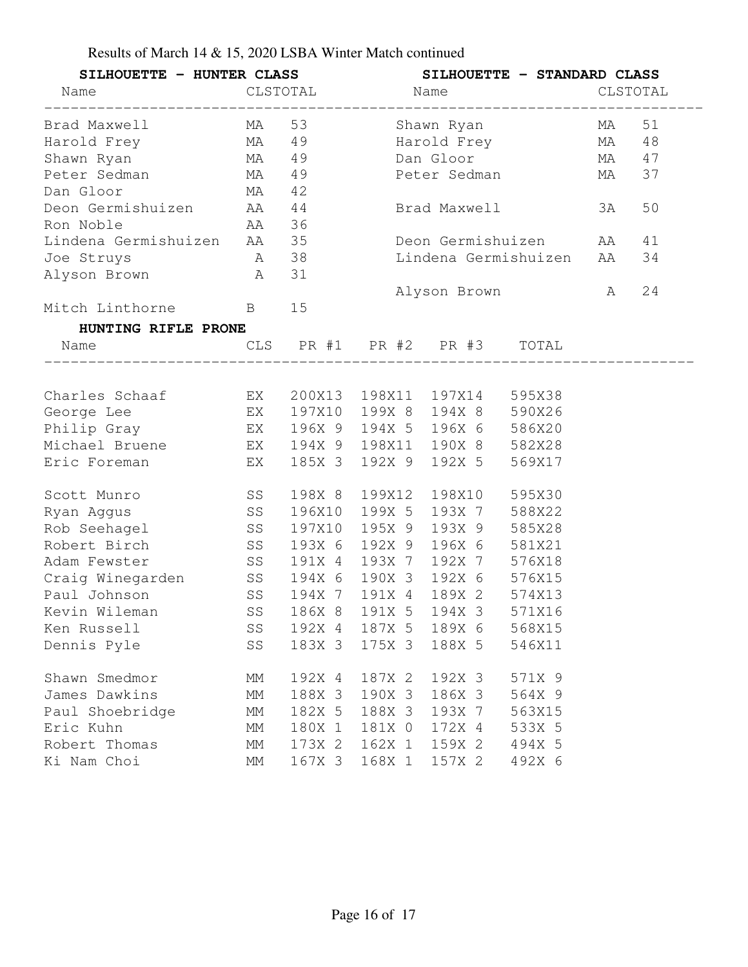| Results of March 14 & 15, 2020 LSBA Winter Match continued |  |  |
|------------------------------------------------------------|--|--|
|------------------------------------------------------------|--|--|

|                                                                 | SILHOUETTE - HUNTER CLASS SILHOUETTE - STANDARD CLASS |        |               |                      |                         |    |    |
|-----------------------------------------------------------------|-------------------------------------------------------|--------|---------------|----------------------|-------------------------|----|----|
| Name CLSTOTAL Name CLSTOTAL Research CLSTOTAL CLSTOTAL CLSTOTAL |                                                       |        |               |                      |                         |    |    |
| Brad Maxwell MA 53                                              |                                                       |        |               |                      |                         |    | 51 |
| Harold Frey MA 49                                               |                                                       |        |               | Harold Frey MA       |                         | 48 |    |
| Shawn Ryan MA 49                                                |                                                       |        |               | Dan Gloor            | MA 47                   |    |    |
| Peter Sedman MA                                                 |                                                       | 49     |               |                      | Peter Sedman MA         |    | 37 |
| $MA$ 42<br>Dan Gloor                                            |                                                       |        |               |                      |                         |    |    |
| Deon Germishuizen MA 44                                         |                                                       |        |               |                      | Brad Maxwell            | 3A | 50 |
| Ron Noble AA 36                                                 |                                                       |        |               |                      |                         |    |    |
| Lindena Germishuizen AA 35                                      |                                                       |        |               |                      | Deon Germishuizen AA    |    | 41 |
| A 38<br>Joe Struys                                              |                                                       |        |               |                      | Lindena Germishuizen AA |    | 34 |
| Alyson Brown                                                    | A                                                     | 31     |               |                      |                         |    |    |
|                                                                 |                                                       |        |               |                      | Alyson Brown A          |    | 24 |
| Mitch Linthorne B 15                                            |                                                       |        |               |                      |                         |    |    |
| HUNTING RIFLE PRONE                                             |                                                       |        |               |                      |                         |    |    |
| CLS PR #1 PR #2 PR #3 TOTAL<br>Name                             |                                                       |        |               |                      |                         |    |    |
|                                                                 |                                                       |        |               |                      |                         |    |    |
| Charles Schaaf EX 200X13 198X11 197X14 595X38                   |                                                       |        |               |                      |                         |    |    |
|                                                                 |                                                       |        |               |                      |                         |    |    |
| Philip Gray <b>EX</b> 196X 9 194X 5 196X 6 586X20               |                                                       |        |               |                      |                         |    |    |
| Michael Bruene EX 194X 9 198X11 190X 8 582X28                   |                                                       |        |               |                      |                         |    |    |
| Eric Foreman EX                                                 |                                                       | 185X 3 | 192X 9        | 192X 5 569X17        |                         |    |    |
| Scott Munro SS                                                  |                                                       | 198X 8 | 199X12        | 198X10               | 595X30                  |    |    |
| Ryan Aggus                                                      | SS                                                    | 196X10 | 199X 5        | 193X 7 588X22        |                         |    |    |
| Rob Seehagel SS                                                 |                                                       |        | 197X10 195X 9 | 193X 9 585X28        |                         |    |    |
| Robert Birch SS                                                 |                                                       |        | 193X 6 192X 9 | 196X 6 581X21        |                         |    |    |
| Adam Fewster 55 591X 4 576X18                                   |                                                       |        |               |                      |                         |    |    |
| Craig Winegarden SS 194X 6 190X 3 192X 6 576X15                 |                                                       |        |               |                      |                         |    |    |
| Paul Johnson SS                                                 |                                                       | 194X 7 | 191X 4        | 189X 2 574X13        |                         |    |    |
|                                                                 |                                                       |        |               |                      | 571X16                  |    |    |
| Ken Russell                                                     | SS                                                    |        |               | 192X 4 187X 5 189X 6 | 568X15                  |    |    |
| Dennis Pyle                                                     | SS                                                    | 183X 3 | 175X 3        | 188X 5               | 546X11                  |    |    |
| Shawn Smedmor                                                   | МM                                                    | 192X 4 | 187X 2        | 192X 3               | 571X 9                  |    |    |
| James Dawkins                                                   | МM                                                    | 188X 3 | 190X 3        | 186X 3               | 564X 9                  |    |    |
| Paul Shoebridge                                                 | МM                                                    | 182X 5 | 188X 3        | 193X 7               | 563X15                  |    |    |
| Eric Kuhn                                                       | МM                                                    | 180X 1 | 181X 0        | 172X 4               | 533X 5                  |    |    |
| Robert Thomas                                                   | MM                                                    | 173X 2 | 162X 1        | 159X 2               | 494X 5                  |    |    |
| Ki Nam Choi                                                     | МM                                                    | 167X 3 | 168X 1        | 157X 2               | 492X 6                  |    |    |